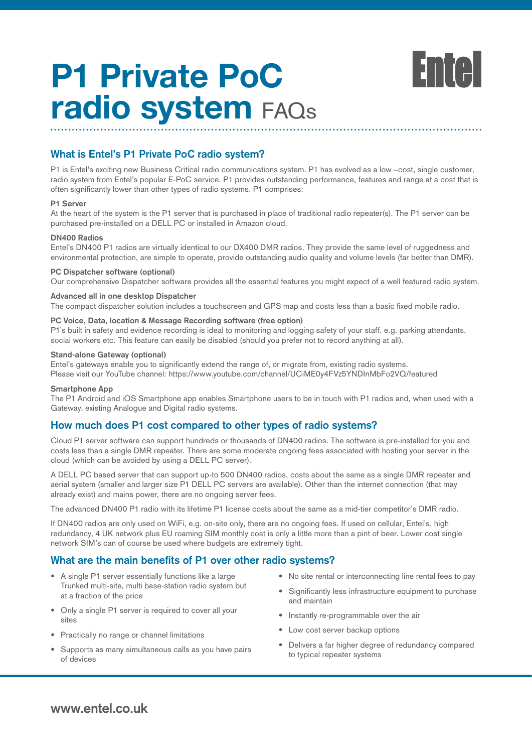

# **What is Entel's P1 Private PoC radio system?**

P1 is Entel's exciting new Business Critical radio communications system. P1 has evolved as a low –cost, single customer, radio system from Entel's popular E-PoC service. P1 provides outstanding performance, features and range at a cost that is often significantly lower than other types of radio systems. P1 comprises:

#### **P1 Server**

At the heart of the system is the P1 server that is purchased in place of traditional radio repeater(s). The P1 server can be purchased pre-installed on a DELL PC or installed in Amazon cloud.

### **DN400 Radios**

Entel's DN400 P1 radios are virtually identical to our DX400 DMR radios. They provide the same level of ruggedness and environmental protection, are simple to operate, provide outstanding audio quality and volume levels (far better than DMR).

#### **PC Dispatcher software (optional)**

Our comprehensive Dispatcher software provides all the essential features you might expect of a well featured radio system.

#### **Advanced all in one desktop Dispatcher**

The compact dispatcher solution includes a touchscreen and GPS map and costs less than a basic fixed mobile radio.

#### **PC Voice, Data, location & Message Recording software (free option)**

P1's built in safety and evidence recording is ideal to monitoring and logging safety of your staff, e.g. parking attendants, social workers etc. This feature can easily be disabled (should you prefer not to record anything at all).

#### **Stand-alone Gateway (optional)**

Entel's gateways enable you to significantly extend the range of, or migrate from, existing radio systems. Please visit our YouTube channel: https://www.youtube.com/channel/UCiME0y4FVz5YNDInMbFo2VQ/featured

#### **Smartphone App**

The P1 Android and iOS Smartphone app enables Smartphone users to be in touch with P1 radios and, when used with a Gateway, existing Analogue and Digital radio systems.

# **How much does P1 cost compared to other types of radio systems?**

Cloud P1 server software can support hundreds or thousands of DN400 radios. The software is pre-installed for you and costs less than a single DMR repeater. There are some moderate ongoing fees associated with hosting your server in the cloud (which can be avoided by using a DELL PC server).

A DELL PC based server that can support up-to 500 DN400 radios, costs about the same as a single DMR repeater and aerial system (smaller and larger size P1 DELL PC servers are available). Other than the internet connection (that may already exist) and mains power, there are no ongoing server fees.

The advanced DN400 P1 radio with its lifetime P1 license costs about the same as a mid-tier competitor's DMR radio.

If DN400 radios are only used on WiFi, e.g. on-site only, there are no ongoing fees. If used on cellular, Entel's, high redundancy, 4 UK network plus EU roaming SIM monthly cost is only a little more than a pint of beer. Lower cost single network SIM's can of course be used where budgets are extremely tight.

# **What are the main benefits of P1 over other radio systems?**

- A single P1 server essentially functions like a large Trunked multi-site, multi base-station radio system but at a fraction of the price
- Only a single P1 server is required to cover all your sites
- Practically no range or channel limitations
- Supports as many simultaneous calls as you have pairs of devices
- No site rental or interconnecting line rental fees to pay
- Significantly less infrastructure equipment to purchase and maintain
- Instantly re-programmable over the air
- Low cost server backup options
- Delivers a far higher degree of redundancy compared to typical repeater systems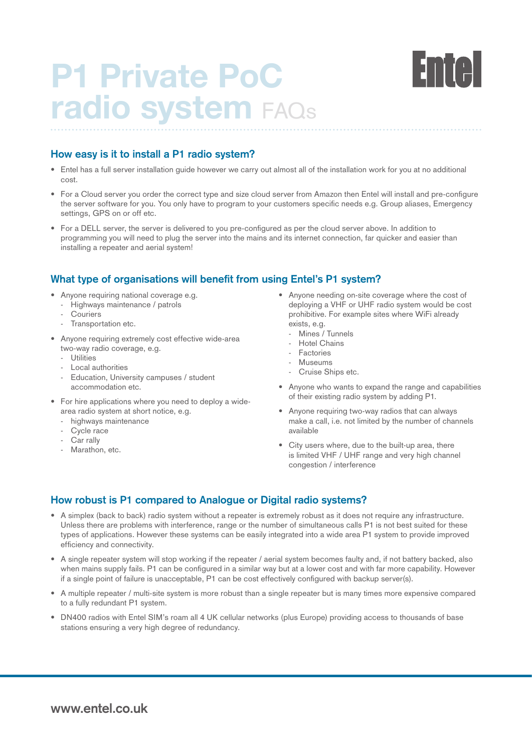# **How easy is it to install a P1 radio system?**

- Entel has a full server installation guide however we carry out almost all of the installation work for you at no additional cost.
- For a Cloud server you order the correct type and size cloud server from Amazon then Entel will install and pre-configure the server software for you. You only have to program to your customers specific needs e.g. Group aliases, Emergency settings, GPS on or off etc.
- For a DELL server, the server is delivered to you pre-configured as per the cloud server above. In addition to programming you will need to plug the server into the mains and its internet connection, far quicker and easier than installing a repeater and aerial system!

# **What type of organisations will benefit from using Entel's P1 system?**

- Anyone requiring national coverage e.g.
- Highways maintenance / patrols
- **Couriers**
- Transportation etc.
- Anyone requiring extremely cost effective wide-area two-way radio coverage, e.g.
	- Utilities
	- Local authorities
	- Education, University campuses / student accommodation etc.
- For hire applications where you need to deploy a widearea radio system at short notice, e.g.
	- highways maintenance
	- Cycle race
	- Car rally
	- Marathon, etc.
- Anyone needing on-site coverage where the cost of deploying a VHF or UHF radio system would be cost prohibitive. For example sites where WiFi already exists, e.g.
	- Mines / Tunnels
	- Hotel Chains
	- Factories
	- Museums
	- Cruise Ships etc.
- Anyone who wants to expand the range and capabilities of their existing radio system by adding P1.
- Anyone requiring two-way radios that can always make a call, i.e. not limited by the number of channels available
- City users where, due to the built-up area, there is limited VHF / UHF range and very high channel congestion / interference

# **How robust is P1 compared to Analogue or Digital radio systems?**

- A simplex (back to back) radio system without a repeater is extremely robust as it does not require any infrastructure. Unless there are problems with interference, range or the number of simultaneous calls P1 is not best suited for these types of applications. However these systems can be easily integrated into a wide area P1 system to provide improved efficiency and connectivity.
- A single repeater system will stop working if the repeater / aerial system becomes faulty and, if not battery backed, also when mains supply fails. P1 can be configured in a similar way but at a lower cost and with far more capability. However if a single point of failure is unacceptable, P1 can be cost effectively configured with backup server(s).
- A multiple repeater / multi-site system is more robust than a single repeater but is many times more expensive compared to a fully redundant P1 system.
- DN400 radios with Entel SIM's roam all 4 UK cellular networks (plus Europe) providing access to thousands of base stations ensuring a very high degree of redundancy.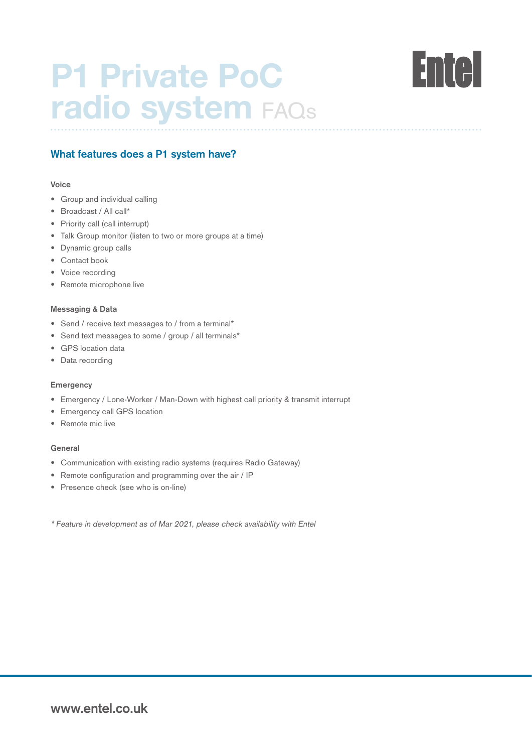

# **What features does a P1 system have?**

### **Voice**

- Group and individual calling
- Broadcast / All call\*
- Priority call (call interrupt)
- Talk Group monitor (listen to two or more groups at a time)
- Dynamic group calls
- Contact book
- Voice recording
- Remote microphone live

### **Messaging & Data**

- Send / receive text messages to / from a terminal\*
- Send text messages to some / group / all terminals\*
- GPS location data
- Data recording

#### **Emergency**

- Emergency / Lone-Worker / Man-Down with highest call priority & transmit interrupt
- Emergency call GPS location
- Remote mic live

### **General**

- Communication with existing radio systems (requires Radio Gateway)
- Remote configuration and programming over the air / IP
- Presence check (see who is on-line)

\* Feature in development as of Mar 2021, please check availability with Entel